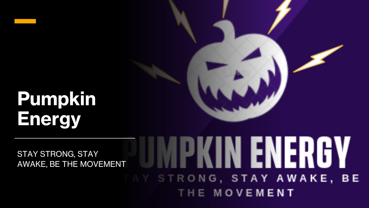# **Pumpkin Energy**

#### PKIN ENERGY STAY STRONG, STAY AWAKE, BE THE MOVEMENTAY STRONG, STAY AWAKE, BE THE MOVEMENT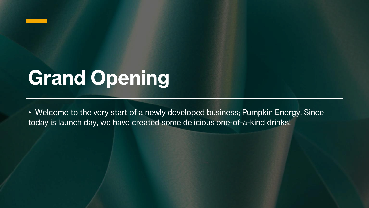

# **Grand Opening**

• Welcome to the very start of a newly developed business; Pumpkin Energy. Since today is launch day, we have created some delicious one-of-a-kind drinks!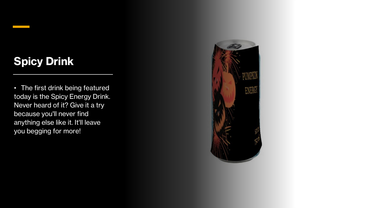## **Spicy Drink**

• The first drink being featured today is the Spicy Energy Drink. Never heard of it? Give it a try because you'll never find anything else like it. It'll leave you begging for more!

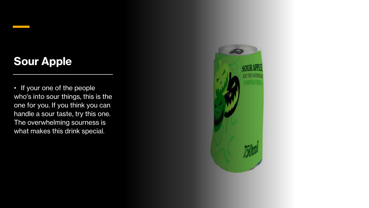## **Sour Apple**

• If your one of the people who's into sour things, this is the one for you. If you think you can handle a sour taste, try this one. The overwhelming sourness is what makes this drink special.

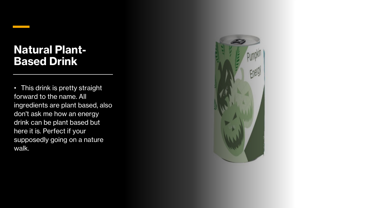#### **Natural Plant-Based Drink**

• This drink is pretty straight forward to the name. All ingredients are plant based, also don't ask me how an energy drink can be plant based but here it is. Perfect if your supposedly going on a nature walk.

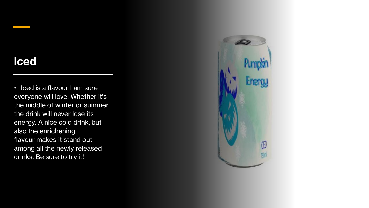#### **Iced**

• Iced is a flavour I am sure everyone will love. Whether it's the middle of winter or summer the drink will never lose its energy. A nice cold drink, but also the enrichening flavour makes it stand out among all the newly released drinks. Be sure to try it!

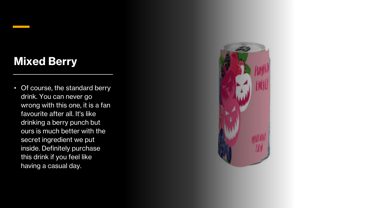## **Mixed Berry**

• Of course, the standard berry drink. You can never go wrong with this one, it is a fan favourite after all. It's like drinking a berry punch but ours is much better with the secret ingredient we put inside. Definitely purchase this drink if you feel like having a casual day.

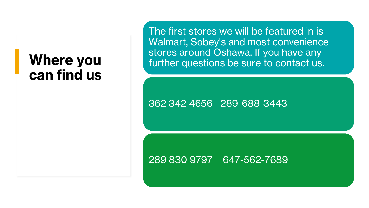# **Where you can find us**

The first stores we will be featured in is Walmart, Sobey's and most convenience stores around Oshawa. If you have any further questions be sure to contact us.

362 342 4656 289-688-3443

#### 289 830 9797 647-562-7689